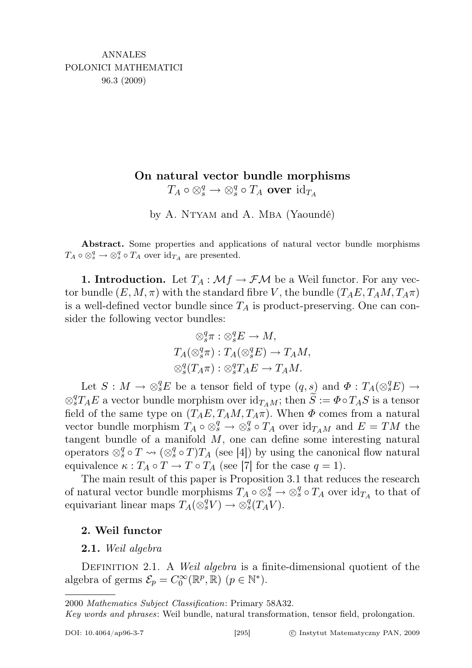# On natural vector bundle morphisms

 $T_A \circ \otimes^q_s \to \otimes^q_s \circ T_A$  over  $\mathrm{id}_{T_A}$ 

by A. NTYAM and A. MBA (Yaoundé)

Abstract. Some properties and applications of natural vector bundle morphisms  $T_A \circ \otimes_s^q \to \otimes_s^q \circ T_A$  over  $\mathrm{id}_{T_A}$  are presented.

**1. Introduction.** Let  $T_A : \mathcal{M}f \to \mathcal{F}\mathcal{M}$  be a Weil functor. For any vector bundle  $(E, M, \pi)$  with the standard fibre V, the bundle  $(T_A E, T_A M, T_A \pi)$ is a well-defined vector bundle since  $T_A$  is product-preserving. One can consider the following vector bundles:

$$
\otimes_s^q \pi : \otimes_s^q E \to M,
$$
  
\n
$$
T_A(\otimes_s^q \pi) : T_A(\otimes_s^q E) \to T_A M,
$$
  
\n
$$
\otimes_s^q (T_A \pi) : \otimes_s^q T_A E \to T_A M.
$$

Let  $S: M \to \otimes_s^q E$  be a tensor field of type  $(q, s)$  and  $\Phi: T_A(\otimes_s^q E) \to$  $\otimes^q_{s}T_A E$  a vector bundle morphism over  $\mathrm{id}_{T_A M}$ ; then  $\widetilde{S} := \Phi \circ T_A S$  is a tensor field of the same type on  $(T_A E, T_A M, T_A \pi)$ . When  $\Phi$  comes from a natural vector bundle morphism  $T_A \circ \otimes_s^q \to \otimes_s^q \circ T_A$  over  $\mathrm{id}_{T_A M}$  and  $E = TM$  the tangent bundle of a manifold  $M$ , one can define some interesting natural operators  $\otimes_s^q \circ T \leadsto (\otimes_s^q \circ T)T_A$  (see [4]) by using the canonical flow natural equivalence  $\kappa : T_A \circ T \to T \circ T_A$  (see [7] for the case  $q = 1$ ).

The main result of this paper is Proposition 3.1 that reduces the research of natural vector bundle morphisms  $T_A \circ \otimes_s^q \to \otimes_s^q \circ T_A$  over  $id_{T_A}$  to that of equivariant linear maps  $T_A(\overset{\frown}{\otimes}^q_s V) \to \otimes^q_s(T_A V)$ .

## 2. Weil functor

## 2.1. Weil algebra

DEFINITION 2.1. A Weil algebra is a finite-dimensional quotient of the algebra of germs  $\mathcal{E}_p = C_0^{\infty}(\mathbb{R}^p, \mathbb{R}) \ (p \in \mathbb{N}^*).$ 

2000 Mathematics Subject Classification: Primary 58A32.

Key words and phrases: Weil bundle, natural transformation, tensor field, prolongation.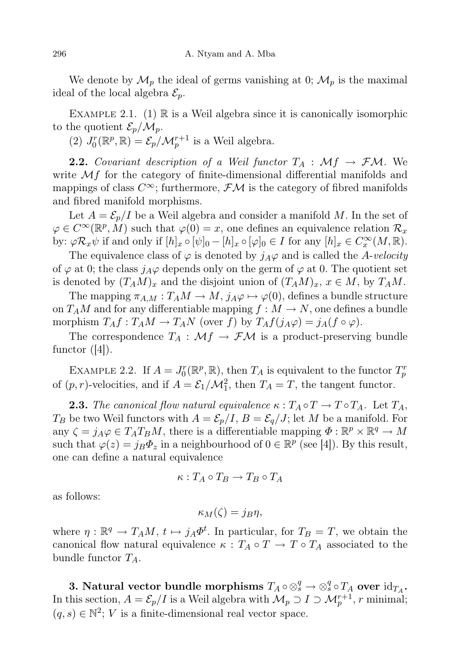We denote by  $\mathcal{M}_p$  the ideal of germs vanishing at 0;  $\mathcal{M}_p$  is the maximal ideal of the local algebra  $\mathcal{E}_p$ .

EXAMPLE 2.1. (1)  $\mathbb R$  is a Weil algebra since it is canonically isomorphic to the quotient  $\mathcal{E}_p/\mathcal{M}_p$ .

(2)  $J_0^r(\mathbb{R}^p, \mathbb{R}) = \mathcal{E}_p/\mathcal{M}_p^{r+1}$  is a Weil algebra.

**2.2.** Covariant description of a Weil functor  $T_A : \mathcal{M}f \to \mathcal{F}\mathcal{M}$ . We write  $\mathcal{M}f$  for the category of finite-dimensional differential manifolds and mappings of class  $C^{\infty}$ ; furthermore,  $\mathcal{F}M$  is the category of fibred manifolds and fibred manifold morphisms.

Let  $A = \mathcal{E}_p/I$  be a Weil algebra and consider a manifold M. In the set of  $\varphi \in C^{\infty}(\mathbb{R}^p, M)$  such that  $\varphi(0) = x$ , one defines an equivalence relation  $\mathcal{R}_x$ by:  $\varphi \mathcal{R}_x \psi$  if and only if  $[h]_x \circ [\psi]_0 - [h]_x \circ [\varphi]_0 \in I$  for any  $[h]_x \in C_x^{\infty}(M, \mathbb{R})$ .

The equivalence class of  $\varphi$  is denoted by  $j_A\varphi$  and is called the A-velocity of  $\varphi$  at 0; the class  $j_A\varphi$  depends only on the germ of  $\varphi$  at 0. The quotient set is denoted by  $(T_A M)_x$  and the disjoint union of  $(T_A M)_x$ ,  $x \in M$ , by  $T_A M$ .

The mapping  $\pi_{A,M}: T_A M \to M$ ,  $j_A \varphi \mapsto \varphi(0)$ , defines a bundle structure on  $T_A M$  and for any differentiable mapping  $f : M \to N$ , one defines a bundle morphism  $T_A f : T_A M \to T_A N$  (over f) by  $T_A f(j_A \varphi) = j_A(f \circ \varphi)$ .

The correspondence  $T_A : \mathcal{M}f \to \mathcal{F}\mathcal{M}$  is a product-preserving bundle functor  $(|4|)$ .

EXAMPLE 2.2. If  $A = J_0^r(\mathbb{R}^p, \mathbb{R})$ , then  $T_A$  is equivalent to the functor  $T_p^r$ of  $(p, r)$ -velocities, and if  $A = \mathcal{E}_1/\mathcal{M}_1^2$ , then  $T_A = T$ , the tangent functor.

**2.3.** The canonical flow natural equivalence  $\kappa : T_A \circ T \to T \circ T_A$ . Let  $T_A$ ,  $T_B$  be two Weil functors with  $A = \mathcal{E}_p/I$ ,  $B = \mathcal{E}_q/J$ ; let M be a manifold. For any  $\zeta = j_A \varphi \in T_A T_B M$ , there is a differentiable mapping  $\Phi : \mathbb{R}^p \times \mathbb{R}^q \to M$ such that  $\varphi(z) = j_B \Phi_z$  in a neighbourhood of  $0 \in \mathbb{R}^p$  (see [4]). By this result, one can define a natural equivalence

$$
\kappa: T_A \circ T_B \to T_B \circ T_A
$$

as follows:

$$
\kappa_M(\zeta) = j_B \eta,
$$

where  $\eta: \mathbb{R}^q \to T_A M$ ,  $t \mapsto j_A \Phi^t$ . In particular, for  $T_B = T$ , we obtain the canonical flow natural equivalence  $\kappa : T_A \circ T \to T \circ T_A$  associated to the bundle functor  $T_A$ .

3. Natural vector bundle morphisms  $T_A\circ \otimes^q_s \to \otimes^q_s\circ T_A$  over  ${\rm id}_{T_A}.$ In this section,  $A = \mathcal{E}_p/I$  is a Weil algebra with  $\mathcal{M}_p \supset I \supset \mathcal{M}_p^{r+1}$ , r minimal;  $(q, s) \in \mathbb{N}^2$ ; *V* is a finite-dimensional real vector space.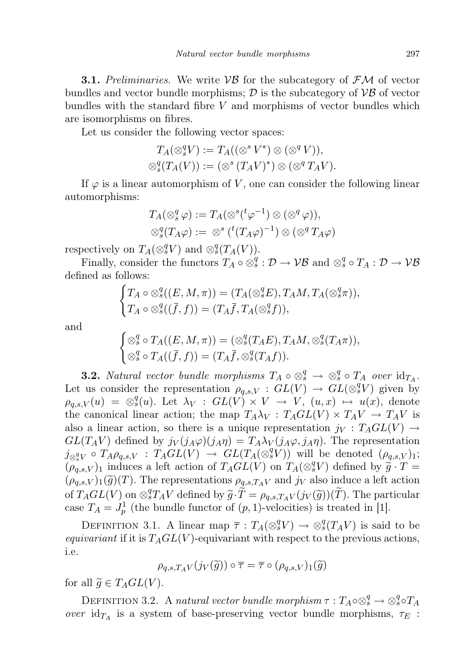**3.1.** Preliminaries. We write  $VB$  for the subcategory of  $FM$  of vector bundles and vector bundle morphisms;  $\mathcal{D}$  is the subcategory of  $\mathcal{VB}$  of vector bundles with the standard fibre  $V$  and morphisms of vector bundles which are isomorphisms on fibres.

Let us consider the following vector spaces:

$$
T_A(\otimes_s^q V) := T_A((\otimes^s V^*) \otimes (\otimes^q V)),
$$
  

$$
\otimes_s^q (T_A(V)) := (\otimes^s (T_A V)^*) \otimes (\otimes^q T_A V).
$$

If  $\varphi$  is a linear automorphism of V, one can consider the following linear automorphisms:

$$
T_A(\otimes_s^q \varphi) := T_A(\otimes^s({}^t \varphi^{-1}) \otimes (\otimes^q \varphi)),
$$
  

$$
\otimes_s^q (T_A \varphi) := \otimes^s ({}^t (T_A \varphi)^{-1}) \otimes (\otimes^q T_A \varphi)
$$

respectively on  $T_A(\otimes_s^q V)$  and  $\otimes_s^q(T_A(V))$ .

Finally, consider the functors  $T_A \circ \otimes_s^q : \mathcal{D} \to \mathcal{VB}$  and  $\otimes_s^q \circ T_A : \mathcal{D} \to \mathcal{VB}$ defined as follows:

$$
\begin{cases}\nT_A \circ \otimes_s^q((E, M, \pi)) = (T_A(\otimes_s^q E), T_A M, T_A(\otimes_s^q \pi)), \\
T_A \circ \otimes_s^q((\bar{f}, f)) = (T_A \bar{f}, T_A(\otimes_s^q f)),\n\end{cases}
$$

and

$$
\begin{cases}\n\otimes_s^q \circ T_A((E, M, \pi)) = (\otimes_s^q(T_A E), T_A M, \otimes_s^q(T_A \pi)), \\
\otimes_s^q \circ T_A((\bar{f}, f)) = (T_A \bar{f}, \otimes_s^q(T_A f)).\n\end{cases}
$$

**3.2.** Natural vector bundle morphisms  $T_A \circ \otimes_s^q \to \otimes_s^q \circ T_A$  over  $id_{T_A}$ . Let us consider the representation  $\rho_{q,s,V} : GL(V) \to GL(\otimes_s^q V)$  given by  $\rho_{q,s,V}(u) = \otimes_s^q(u)$ . Let  $\lambda_V : GL(V) \times V \to V$ ,  $(u, x) \mapsto u(x)$ , denote the canonical linear action; the map  $T_A\lambda_V : T_AGL(V) \times T_AV \to T_AV$  is also a linear action, so there is a unique representation  $j_V : T_A GL(V) \rightarrow$  $GL(T_A V)$  defined by  $j_V(j_A\varphi)(j_A\eta) = T_A\lambda_V(j_A\varphi, j_A\eta)$ . The representation  $j_{\otimes_s^q V} \circ T_A \rho_{q,s,V} : T_A \widetilde{GL}(V) \to GL(T_A(\otimes_s^q V))$  will be denoted  $(\rho_{q,s,V})_1;$  $(\rho_{q,s,V})_1$  induces a left action of  $T_A\overrightarrow{GL}(V)$  on  $T_A(\otimes_s^q V)$  defined by  $\widetilde{\mathfrak{g}} \cdot T =$  $(\rho_{q,s,V})_1(\widetilde{g})(T)$ . The representations  $\rho_{q,s,T_A V}$  and  $j_V$  also induce a left action of  $T_A GL(V)$  on  $\otimes_s^q T_A V$  defined by  $\widetilde{g} \cdot \widetilde{T} = \rho_{q,s,T_A V}(j_V(\widetilde{g}))(\widetilde{T})$ . The particular  $\cos \widetilde{T}_t = I^1$  (the bundle functor of  $(n, 1)$  velocities) is treated in [1] case  $T_A = J_p^1$  (the bundle functor of  $(p, 1)$ -velocities) is treated in [1].

DEFINITION 3.1. A linear map  $\overline{\tau}: T_A(\otimes_s^q V) \to \otimes_s^q (T_A V)$  is said to be equivariant if it is  $T_A GL(V)$ -equivariant with respect to the previous actions, i.e.

$$
\rho_{q,s,T_A V}(j_V(\widetilde{g})) \circ \overline{\tau} = \overline{\tau} \circ (\rho_{q,s,V})_1(\widetilde{g})
$$

for all  $\widetilde{g} \in T_A GL(V)$ .

DEFINITION 3.2. A natural vector bundle morphism  $\tau: T_A \circ \otimes_s^q \to \otimes_s^q \circ T_A$ over  $id_{T_A}$  is a system of base-preserving vector bundle morphisms,  $\tau_E$ :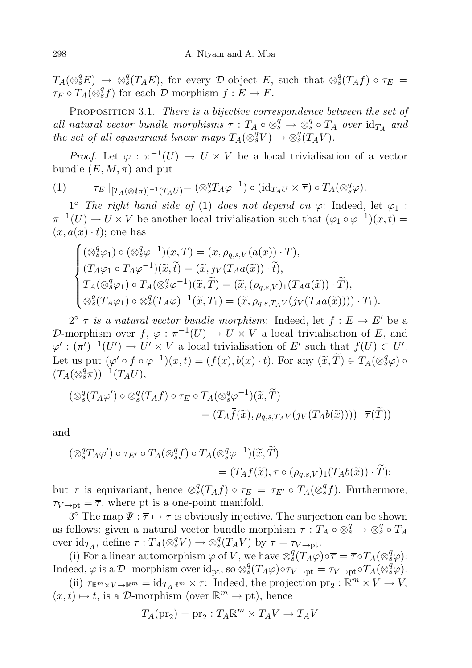$T_A(\otimes_s^q E) \to \otimes_s^q (T_A E)$ , for every D-object E, such that  $\otimes_s^q (T_A f) \circ \tau_E =$  $\tau_F \circ T_A(\otimes^q_s f)$  for each D-morphism  $f: E \to F$ .

PROPOSITION 3.1. There is a bijective correspondence between the set of all natural vector bundle morphisms  $\tau: T_A \circ \otimes_s^q \to \otimes_s^q \circ T_A$  over  $\mathrm{id}_{T_A}$  and the set of all equivariant linear maps  $T_A(\otimes_s^q V) \to \otimes_s^q (T_A V)$ .

*Proof.* Let  $\varphi : \pi^{-1}(U) \to U \times V$  be a local trivialisation of a vector bundle  $(E, M, \pi)$  and put

(1) 
$$
\tau_E \mid_{[T_A(\otimes^q_s \pi)]^{-1}(T_A U)} = (\otimes^q_s T_A \varphi^{-1}) \circ (\mathrm{id}_{T_A U} \times \overline{\tau}) \circ T_A(\otimes^q_s \varphi).
$$

1° The right hand side of (1) does not depend on  $\varphi$ : Indeed, let  $\varphi_1$ :  $\pi^{-1}(U) \to U \times V$  be another local trivialisation such that  $(\varphi_1 \circ \varphi^{-1})(x,t) =$  $(x, a(x) \cdot t)$ ; one has

$$
\begin{cases}\n(\otimes_s^q \varphi_1) \circ (\otimes_s^q \varphi^{-1})(x, T) = (x, \rho_{q,s,V}(a(x)) \cdot T),\n(T_A \varphi_1 \circ T_A \varphi^{-1})(\widetilde{x}, \widetilde{t}) = (\widetilde{x}, j_V(T_A a(\widetilde{x})) \cdot \widetilde{t}),\nT_A(\otimes_s^q \varphi_1) \circ T_A(\otimes_s^q \varphi^{-1})(\widetilde{x}, \widetilde{T}) = (\widetilde{x}, (\rho_{q,s,V})_1(T_A a(\widetilde{x})) \cdot \widetilde{T}),\n\otimes_s^q(T_A \varphi_1) \circ \otimes_s^q(T_A \varphi)^{-1}(\widetilde{x}, T_1) = (\widetilde{x}, \rho_{q,s,T_A V}(j_V(T_A a(\widetilde{x})))) \cdot T_1).\n\end{cases}
$$

 $2^{\circ}$   $\tau$  is a natural vector bundle morphism: Indeed, let  $f : E \to E'$  be a D-morphism over  $\bar{f}$ ,  $\varphi : \pi^{-1}(U) \to U \times V$  a local trivialisation of E, and  $\varphi': (\pi')^{-1}(U') \to U' \times V$  a local trivialisation of E' such that  $\bar{f}(U) \subset U'$ . Let us put  $(\varphi' \circ f \circ \varphi^{-1})(x,t) = (\bar{f}(x), b(x) \cdot t)$ . For any  $(\widetilde{x}, \widetilde{T}) \in T_A(\otimes_s^q \varphi) \circ$ <br> $(T \cdot (\otimes_s^q \pi))^{-1}(T \cdot I)$  $(T_A(\otimes^q_s \pi))^{-1}(T_A U),$ 

$$
\begin{aligned} \left(\otimes_s^q(T_A\varphi')\circ\otimes_s^q(T_Af)\circ\tau_E\circ T_A(\otimes_s^q\varphi^{-1})(\widetilde{x},\widetilde{T})\right)\\ &= (T_A\bar{f}(\widetilde{x}),\rho_{q,s,T_AV}(j_V(T_Ab(\widetilde{x}))))\cdot\overline{\tau}(\widetilde{T})\right) \end{aligned}
$$

and

$$
\begin{aligned} (\otimes_s^q T_A \varphi') \circ \tau_{E'} \circ T_A (\otimes_s^q f) \circ T_A (\otimes_s^q \varphi^{-1}) (\widetilde{x}, \widetilde{T}) \\ &= (T_A \overline{f}(\widetilde{x}), \overline{\tau} \circ (\rho_{q,s,V})_1 (T_A b(\widetilde{x})) \cdot \widetilde{T}); \end{aligned}
$$

but  $\bar{\tau}$  is equivariant, hence  $\otimes_s^q(T_A f) \circ \tau_E = \tau_{E'} \circ T_A(\otimes_s^q f)$ . Furthermore,  $\tau_{V \to \text{pt}} = \overline{\tau}$ , where pt is a one-point manifold.

 $3^{\circ}$  The map  $\Psi : \overline{\tau} \mapsto \tau$  is obviously injective. The surjection can be shown as follows: given a natural vector bundle morphism  $\tau : T_A \circ \otimes_s^q \to \otimes_s^q \circ T_A$ over  $\mathrm{id}_{T_A}$ , define  $\overline{\tau}: T_A(\otimes^q_s V) \to \otimes^q_s(T_A V)$  by  $\overline{\tau} = \tau_{V \to \mathrm{pt}}$ .

(i) For a linear automorphism  $\varphi$  of V, we have  $\otimes_s^q(T_A\varphi)\circ \overline{\tau} = \overline{\tau} \circ T_A(\otimes_s^q \varphi)$ :  $\text{Indeed, } \varphi \text{ is a } \mathcal{D} \text{-morphism over } \text{id}_{\text{pt}}, \text{ so } \otimes_s^q(T_A\varphi) \circ \tau_{V \to \text{pt}} = \tau_{V \to \text{pt}} \circ T_A(\otimes_s^q \varphi).$ 

(ii)  $\tau_{\mathbb{R}^m \times V \to \mathbb{R}^m} = \mathrm{id}_{T_A \mathbb{R}^m} \times \overline{\tau}$ : Indeed, the projection  $\text{pr}_2 : \mathbb{R}^m \times V \to V$ ,  $(x, t) \mapsto t$ , is a D-morphism (over  $\mathbb{R}^m \to \text{pt}$ ), hence

$$
T_A(\text{pr}_2) = \text{pr}_2 : T_A \mathbb{R}^m \times T_A V \to T_A V
$$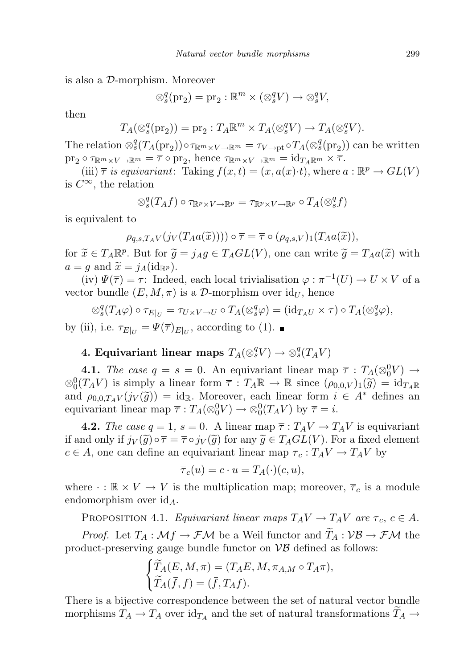is also a D-morphism. Moreover

$$
\otimes_s^q(\text{pr}_2) = \text{pr}_2 : \mathbb{R}^m \times (\otimes_s^q V) \to \otimes_s^q V,
$$

then

$$
T_A(\otimes_s^q(\text{pr}_2)) = \text{pr}_2 : T_A \mathbb{R}^m \times T_A(\otimes_s^q V) \to T_A(\otimes_s^q V).
$$

The relation  $\otimes_s^q(T_A(\text{pr}_2)) \circ \tau_{\mathbb{R}^m \times V \to \mathbb{R}^m} = \tau_{V \to pt} \circ T_A(\otimes_s^q(\text{pr}_2))$  can be written  $\operatorname{pr}_2 \circ \tau_{\mathbb{R}^m \times V \to \mathbb{R}^m} = \overline{\tau} \circ \operatorname{pr}_2$ , hence  $\tau_{\mathbb{R}^m \times V \to \mathbb{R}^m} = \operatorname{id}_{T_A \mathbb{R}^m} \times \overline{\tau}$ .

(iii)  $\bar{\tau}$  is equivariant: Taking  $f(x,t) = (x, a(x) \cdot t)$ , where  $a : \mathbb{R}^p \to GL(V)$ is  $C^{\infty}$ , the relation

$$
\otimes_s^q(T_Af)\circ \tau_{\mathbb{R}^p\times V\to \mathbb{R}^p}=\tau_{\mathbb{R}^p\times V\to \mathbb{R}^p}\circ T_A(\otimes_s^qf)
$$

is equivalent to

$$
\rho_{q,s,T_A V}(j_V(T_A a(\tilde{x})))) \circ \overline{\tau} = \overline{\tau} \circ (\rho_{q,s,V})_1(T_A a(\tilde{x})),
$$

for  $\tilde{x} \in T_A \mathbb{R}^p$ . But for  $\tilde{g} = j_A g \in T_A GL(V)$ , one can write  $\tilde{g} = T_A a(\tilde{x})$  with  $g = g$  and  $\tilde{x} = i_A (\text{id}_{\mathbb{R}^p})$  $a = g$  and  $\widetilde{x} = j_A(\mathrm{id}_{\mathbb{R}^p}).$ 

(iv)  $\Psi(\overline{\tau}) = \tau$ : Indeed, each local trivialisation  $\varphi : \pi^{-1}(U) \to U \times V$  of a vector bundle  $(E, M, \pi)$  is a D-morphism over  $\mathrm{id}_U$ , hence

$$
\otimes_s^q(T_A\varphi) \circ \tau_{E|_U} = \tau_{U \times V \to U} \circ T_A(\otimes_s^q \varphi) = (\mathrm{id}_{T_A U} \times \overline{\tau}) \circ T_A(\otimes_s^q \varphi),
$$
  
(ii) i.e.  $\tau_{\text{min}} = W(\overline{\tau})$  is a according to (1)

by (ii), i.e.  $\tau_{E|_U} = \Psi(\overline{\tau})_{E|_U}$ , according to (1).

# 4. Equivariant linear maps  $T_A({\otimes}^q_sV)\to{\otimes}^q_s(T_AV)$

**4.1.** The case  $q = s = 0$ . An equivariant linear map  $\bar{\tau}$ :  $T_A(\otimes_0^0 V) \rightarrow$  $\otimes_0^0(T_A V)$  is simply a linear form  $\overline{\tau}: T_A \mathbb{R} \to \mathbb{R}$  since  $(\rho_{0,0,V})_1(\widetilde{g}) = id_{T_A \mathbb{R}}$ <br>and  $\phi_{0,0,T} \cdot (id_{\mathcal{U}}(\widetilde{g})) = id_{\mathbb{R}}$ . Moreover, each linear form  $i \in \Lambda^*$  defines an and  $\rho_{0,0,T_A V}(j_V(\tilde{g})) = id_{\mathbb{R}}$ . Moreover, each linear form  $i \in A^*$  defines an equivariant linear map  $\overline{\tau}: T_A({\otimes}^0_0 V) \to {\otimes}^0_0(T_A V)$  by  $\overline{\tau} = i$ .

**4.2.** The case  $q = 1$ ,  $s = 0$ . A linear map  $\overline{\tau} : T_A V \to T_A V$  is equivariant if and only if  $j_V(\tilde{g}) \circ \overline{\tau} = \overline{\tau} \circ j_V(\tilde{g})$  for any  $\tilde{g} \in T_A GL(V)$ . For a fixed element  $c \in A$ , one can define an equivariant linear map  $\overline{\tau}_c : T_A V \to T_A V$  by

$$
\overline{\tau}_c(u) = c \cdot u = T_A(\cdot)(c, u),
$$

where  $\cdot : \mathbb{R} \times V \to V$  is the multiplication map; moreover,  $\overline{\tau}_c$  is a module endomorphism over  $id_A$ .

PROPOSITION 4.1. Equivariant linear maps  $T_A V \to T_A V$  are  $\overline{\tau}_c$ ,  $c \in A$ .

*Proof.* Let  $T_A : \mathcal{M}f \to \mathcal{F}\mathcal{M}$  be a Weil functor and  $\widetilde{T}_A : \mathcal{VB} \to \mathcal{F}\mathcal{M}$  the product-preserving gauge bundle functor on  $\mathcal{VB}$  defined as follows:

$$
\begin{cases}\n\widetilde{T}_A(E, M, \pi) = (T_A E, M, \pi_{A,M} \circ T_A \pi), \\
\widetilde{T}_A(\bar{f}, f) = (\bar{f}, T_A f).\n\end{cases}
$$

There is a bijective correspondence between the set of natural vector bundle morphisms  $T_A \to T_A$  over  $id_{T_A}$  and the set of natural transformations  $T_A \to$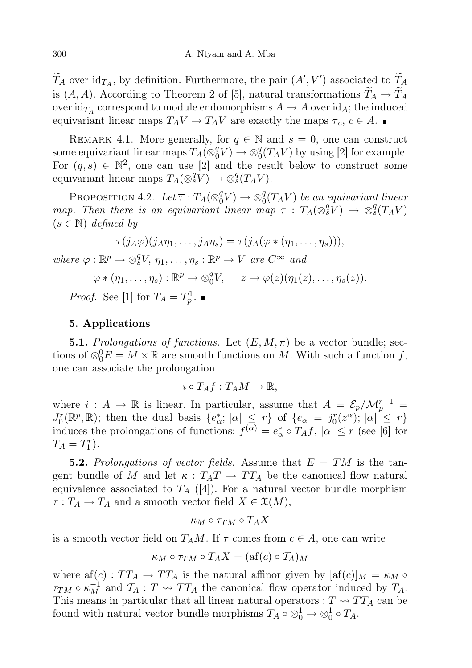$\widetilde{T}_A$  over  $\mathrm{id}_{T_A}$ , by definition. Furthermore, the pair  $(A', V')$  associated to  $\widetilde{T}_A$ is  $(A, A)$ . According to Theorem 2 of [5], natural transformations  $T_A \rightarrow T_A$ over  $\mathrm{id}_{T_A}$  correspond to module endomorphisms  $A\to A$  over  $\mathrm{id}_A;$  the induced equivariant linear maps  $T_A V \to T_A V$  are exactly the maps  $\overline{\tau}_c, c \in A$ .

REMARK 4.1. More generally, for  $q \in \mathbb{N}$  and  $s = 0$ , one can construct some equivariant linear maps  $T_A(\otimes_0^q V) \to \otimes_0^q (T_A V)$  by using [2] for example. For  $(q, s) \in \mathbb{N}^2$ , one can use [2] and the result below to construct some equivariant linear maps  $T_A({\otimes}_s^q V) \to {\otimes}_s^q (T_A V)$ .

PROPOSITION 4.2. Let  $\overline{\tau}: T_A(\otimes_0^q V) \to \otimes_0^q (T_A V)$  be an equivariant linear map. Then there is an equivariant linear map  $\tau$ :  $T_A(\otimes_s^q V) \rightarrow \otimes_s^q (T_A V)$  $(s \in \mathbb{N})$  defined by

$$
\tau(j_A\varphi)(j_A\eta_1,\ldots,j_A\eta_s) = \overline{\tau}(j_A(\varphi * (\eta_1,\ldots,\eta_s))),
$$
  
where  $\varphi : \mathbb{R}^p \to \otimes_s^q V, \eta_1,\ldots,\eta_s : \mathbb{R}^p \to V \text{ are } C^{\infty} \text{ and}$   
 $\varphi * (\eta_1,\ldots,\eta_s) : \mathbb{R}^p \to \otimes_0^q V, \quad z \to \varphi(z)(\eta_1(z),\ldots,\eta_s(z)).$   
*Proof.* See [1] for  $T_A = T_p^1$ .

#### 5. Applications

**5.1.** Prolongations of functions. Let  $(E, M, \pi)$  be a vector bundle; sections of  $\otimes_0^0 E = M \times \mathbb{R}$  are smooth functions on M. With such a function f, one can associate the prolongation

$$
i \circ T_A f : T_A M \to \mathbb{R},
$$

where  $i : A \to \mathbb{R}$  is linear. In particular, assume that  $A = \mathcal{E}_p/\mathcal{M}_p^{r+1} =$  $J_0^r(\mathbb{R}^p, \mathbb{R})$ ; then the dual basis  $\{e^*_\alpha; |\alpha| \leq r\}$  of  $\{e_\alpha = j_0^r(z^\alpha); |\alpha| \leq r\}$ induces the prolongations of functions:  $f^{(\alpha)} = e^*_{\alpha} \circ T_A f$ ,  $|\alpha| \le r$  (see [6] for  $T_A = T_1^r$ .

**5.2.** Prolongations of vector fields. Assume that  $E = TM$  is the tangent bundle of M and let  $\kappa : T_A T \to T T_A$  be the canonical flow natural equivalence associated to  $T_A$  ([4]). For a natural vector bundle morphism  $\tau: T_A \to T_A$  and a smooth vector field  $X \in \mathfrak{X}(M)$ ,

$$
\kappa_M\circ\tau_{TM}\circ T_A X
$$

is a smooth vector field on  $T_A M$ . If  $\tau$  comes from  $c \in A$ , one can write

$$
\kappa_M \circ \tau_{TM} \circ T_A X = (\text{af}(c) \circ T_A)_M
$$

where af(c) :  $TT_A \rightarrow TT_A$  is the natural affinor given by  $[af(c)]_M = \kappa_M \circ$  $\tau_{TM} \circ \kappa_M^{-1}$  and  $\mathcal{T}_A : T \leadsto TT_A$  the canonical flow operator induced by  $T_A$ . This means in particular that all linear natural operators :  $T \sim TT_A$  can be found with natural vector bundle morphisms  $T_A \circ \otimes_0^1 \to \otimes_0^1 \circ T_A$ .